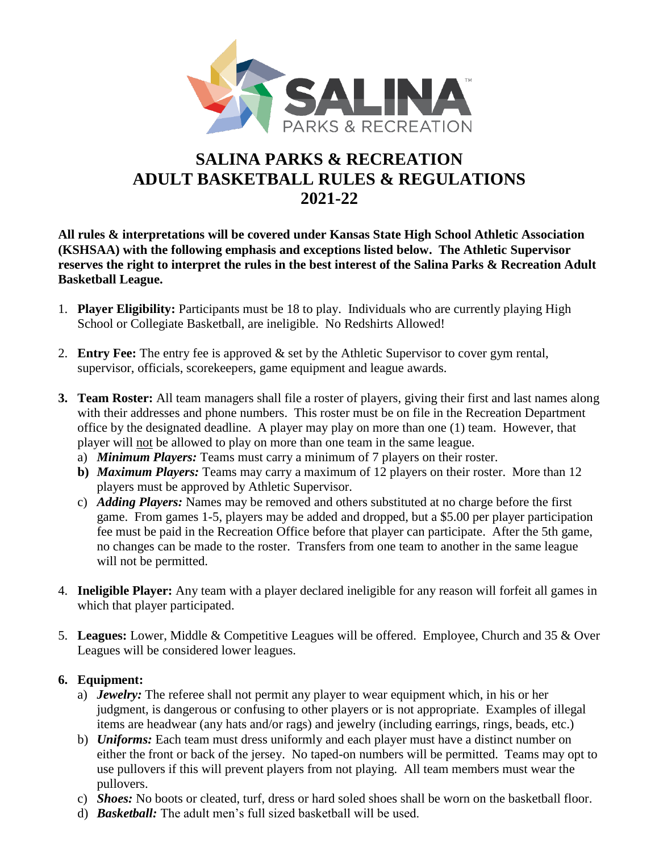

# **SALINA PARKS & RECREATION ADULT BASKETBALL RULES & REGULATIONS 2021-22**

**All rules & interpretations will be covered under Kansas State High School Athletic Association (KSHSAA) with the following emphasis and exceptions listed below. The Athletic Supervisor reserves the right to interpret the rules in the best interest of the Salina Parks & Recreation Adult Basketball League.**

- 1. **Player Eligibility:** Participants must be 18 to play. Individuals who are currently playing High School or Collegiate Basketball, are ineligible. No Redshirts Allowed!
- 2. **Entry Fee:** The entry fee is approved & set by the Athletic Supervisor to cover gym rental, supervisor, officials, scorekeepers, game equipment and league awards.
- **3. Team Roster:** All team managers shall file a roster of players, giving their first and last names along with their addresses and phone numbers. This roster must be on file in the Recreation Department office by the designated deadline. A player may play on more than one (1) team. However, that player will not be allowed to play on more than one team in the same league.
	- a) *Minimum Players:* Teams must carry a minimum of 7 players on their roster.
	- **b)** *Maximum Players:* Teams may carry a maximum of 12 players on their roster. More than 12 players must be approved by Athletic Supervisor.
	- c) *Adding Players:* Names may be removed and others substituted at no charge before the first game. From games 1-5, players may be added and dropped, but a \$5.00 per player participation fee must be paid in the Recreation Office before that player can participate. After the 5th game, no changes can be made to the roster. Transfers from one team to another in the same league will not be permitted.
- 4. **Ineligible Player:** Any team with a player declared ineligible for any reason will forfeit all games in which that player participated.
- 5. **Leagues:** Lower, Middle & Competitive Leagues will be offered. Employee, Church and 35 & Over Leagues will be considered lower leagues.

#### **6. Equipment:**

- a) *Jewelry:* The referee shall not permit any player to wear equipment which, in his or her judgment, is dangerous or confusing to other players or is not appropriate. Examples of illegal items are headwear (any hats and/or rags) and jewelry (including earrings, rings, beads, etc.)
- b) *Uniforms:* Each team must dress uniformly and each player must have a distinct number on either the front or back of the jersey. No taped-on numbers will be permitted. Teams may opt to use pullovers if this will prevent players from not playing. All team members must wear the pullovers.
- c) *Shoes:* No boots or cleated, turf, dress or hard soled shoes shall be worn on the basketball floor.
- d) *Basketball:* The adult men's full sized basketball will be used.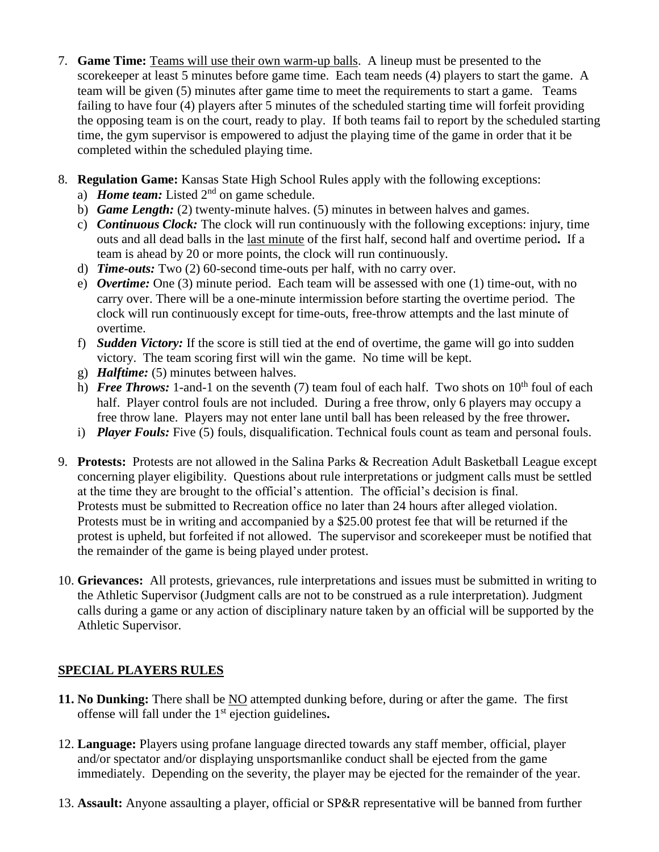- 7. **Game Time:** Teams will use their own warm-up balls. A lineup must be presented to the scorekeeper at least 5 minutes before game time. Each team needs (4) players to start the game. A team will be given (5) minutes after game time to meet the requirements to start a game. Teams failing to have four (4) players after 5 minutes of the scheduled starting time will forfeit providing the opposing team is on the court, ready to play. If both teams fail to report by the scheduled starting time, the gym supervisor is empowered to adjust the playing time of the game in order that it be completed within the scheduled playing time.
- 8. **Regulation Game:** Kansas State High School Rules apply with the following exceptions:
	- a) *Home team:* Listed  $2<sup>nd</sup>$  on game schedule.
	- b) *Game Length:* (2) twenty-minute halves. (5) minutes in between halves and games.
	- c) *Continuous Clock:* The clock will run continuously with the following exceptions: injury, time outs and all dead balls in the last minute of the first half, second half and overtime period**.** If a team is ahead by 20 or more points, the clock will run continuously.
	- d) *Time-outs:* Two (2) 60-second time-outs per half, with no carry over.
	- e) *Overtime:* One (3) minute period. Each team will be assessed with one (1) time-out, with no carry over. There will be a one-minute intermission before starting the overtime period. The clock will run continuously except for time-outs, free-throw attempts and the last minute of overtime.
	- f) *Sudden Victory:* If the score is still tied at the end of overtime, the game will go into sudden victory. The team scoring first will win the game. No time will be kept.
	- g) *Halftime:* (5) minutes between halves.
	- h) *Free Throws:* 1-and-1 on the seventh (7) team foul of each half. Two shots on  $10<sup>th</sup>$  foul of each half. Player control fouls are not included. During a free throw, only 6 players may occupy a free throw lane. Players may not enter lane until ball has been released by the free thrower**.**
	- i) *Player Fouls:* Five (5) fouls, disqualification. Technical fouls count as team and personal fouls.
- 9. **Protests:** Protests are not allowed in the Salina Parks & Recreation Adult Basketball League except concerning player eligibility. Questions about rule interpretations or judgment calls must be settled at the time they are brought to the official's attention. The official's decision is final. Protests must be submitted to Recreation office no later than 24 hours after alleged violation. Protests must be in writing and accompanied by a \$25.00 protest fee that will be returned if the protest is upheld, but forfeited if not allowed. The supervisor and scorekeeper must be notified that the remainder of the game is being played under protest.
- 10. **Grievances:** All protests, grievances, rule interpretations and issues must be submitted in writing to the Athletic Supervisor (Judgment calls are not to be construed as a rule interpretation). Judgment calls during a game or any action of disciplinary nature taken by an official will be supported by the Athletic Supervisor.

## **SPECIAL PLAYERS RULES**

- **11. No Dunking:** There shall be NO attempted dunking before, during or after the game. The first offense will fall under the 1st ejection guidelines**.**
- 12. **Language:** Players using profane language directed towards any staff member, official, player and/or spectator and/or displaying unsportsmanlike conduct shall be ejected from the game immediately. Depending on the severity, the player may be ejected for the remainder of the year.
- 13. **Assault:** Anyone assaulting a player, official or SP&R representative will be banned from further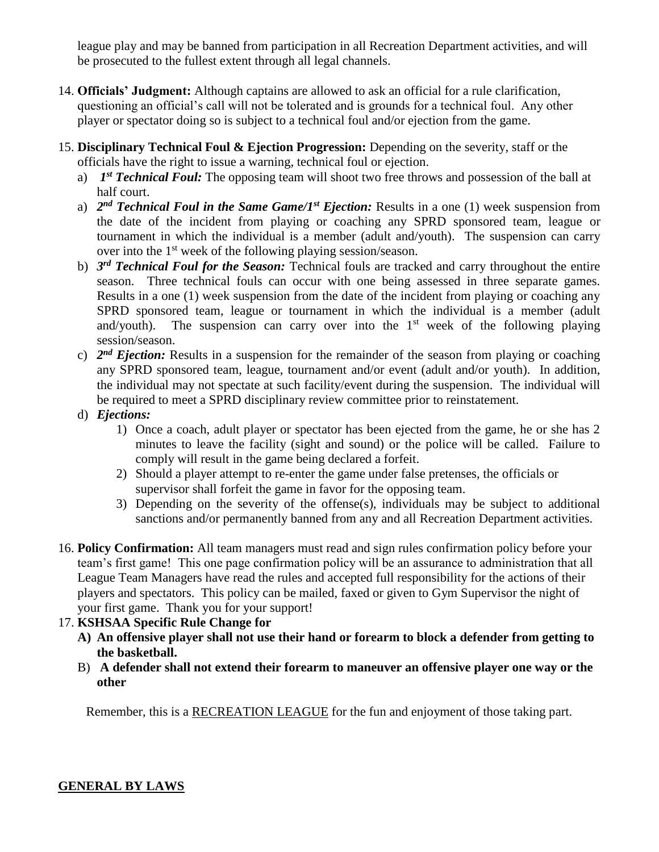league play and may be banned from participation in all Recreation Department activities, and will be prosecuted to the fullest extent through all legal channels.

- 14. **Officials' Judgment:** Although captains are allowed to ask an official for a rule clarification, questioning an official's call will not be tolerated and is grounds for a technical foul. Any other player or spectator doing so is subject to a technical foul and/or ejection from the game.
- 15. **Disciplinary Technical Foul & Ejection Progression:** Depending on the severity, staff or the officials have the right to issue a warning, technical foul or ejection.
	- a) *1 st Technical Foul:* The opposing team will shoot two free throws and possession of the ball at half court.
	- a) *2 nd Technical Foul in the Same Game/1st Ejection:* Results in a one (1) week suspension from the date of the incident from playing or coaching any SPRD sponsored team, league or tournament in which the individual is a member (adult and/youth). The suspension can carry over into the 1<sup>st</sup> week of the following playing session/season.
	- b) *3 rd Technical Foul for the Season:* Technical fouls are tracked and carry throughout the entire season. Three technical fouls can occur with one being assessed in three separate games. Results in a one (1) week suspension from the date of the incident from playing or coaching any SPRD sponsored team, league or tournament in which the individual is a member (adult and/youth). The suspension can carry over into the  $1<sup>st</sup>$  week of the following playing session/season.
	- c) *2 nd Ejection:* Results in a suspension for the remainder of the season from playing or coaching any SPRD sponsored team, league, tournament and/or event (adult and/or youth). In addition, the individual may not spectate at such facility/event during the suspension. The individual will be required to meet a SPRD disciplinary review committee prior to reinstatement.
	- d) *Ejections:*
		- 1) Once a coach, adult player or spectator has been ejected from the game, he or she has 2 minutes to leave the facility (sight and sound) or the police will be called. Failure to comply will result in the game being declared a forfeit.
		- 2) Should a player attempt to re-enter the game under false pretenses, the officials or supervisor shall forfeit the game in favor for the opposing team.
		- 3) Depending on the severity of the offense(s), individuals may be subject to additional sanctions and/or permanently banned from any and all Recreation Department activities.
- 16. **Policy Confirmation:** All team managers must read and sign rules confirmation policy before your team's first game! This one page confirmation policy will be an assurance to administration that all League Team Managers have read the rules and accepted full responsibility for the actions of their players and spectators. This policy can be mailed, faxed or given to Gym Supervisor the night of your first game. Thank you for your support!

## 17. **KSHSAA Specific Rule Change for**

- **A) An offensive player shall not use their hand or forearm to block a defender from getting to the basketball.**
- B) **A defender shall not extend their forearm to maneuver an offensive player one way or the other**

Remember, this is a RECREATION LEAGUE for the fun and enjoyment of those taking part.

#### **GENERAL BY LAWS**